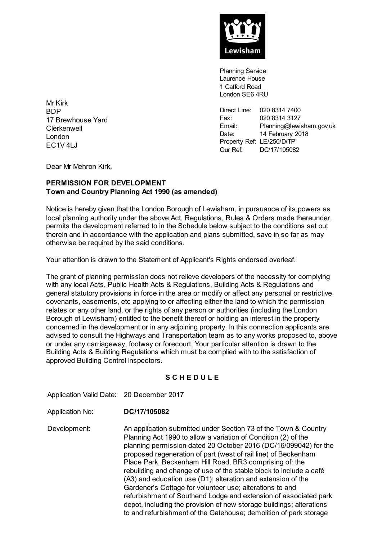

Planning Service Laurence House 1 Catford Road London SE6 4RU

Direct Line: 020 8314 7400<br>Fax: 020 8314 3127 020 8314 3127 Email: Planning@lewisham.gov.uk Email: Planning@lewisha<br>Date: 14 February 2018 Property Ref: LE/250/D/TP Our Ref: DC/17/105082

Mr Kirk **BDP** 17 Brewhouse Yard **Clerkenwell** London EC1V 4LJ

Dear Mr Mehron Kirk,

### **PERMISSION FOR DEVELOPMENT Town and Country Planning Act 1990 (as amended)**

Notice is hereby given that the London Borough of Lewisham, in pursuance of its powers as local planning authority under the above Act, Regulations, Rules & Orders made thereunder, permits the development referred to in the Schedule below subject to the conditions set out therein and in accordance with the application and plans submitted, save in so far as may otherwise be required by the said conditions.

Your attention is drawn to the Statement of Applicant's Rights endorsed overleaf.

The grant of planning permission does not relieve developers of the necessity for complying with any local Acts, Public Health Acts & Regulations, Building Acts & Regulations and general statutory provisions in force in the area or modify or affect any personal or restrictive covenants, easements, etc applying to or affecting either the land to which the permission relates or any other land, or the rights of any person or authorities (including the London Borough of Lewisham) entitled to the benefit thereof or holding an interest in the property concerned in the development or in any adjoining property. In this connection applicants are advised to consult the Highways and Transportation team as to any works proposed to, above or under any carriageway, footway or forecourt. Your particular attention is drawn to the Building Acts & Building Regulations which must be complied with to the satisfaction of approved Building Control Inspectors.

# **S C H E D U L E**

Application Valid Date: 20 December 2017

Application No: **DC/17/105082**

Development: An application submitted under Section 73 of the Town & Country Planning Act 1990 to allow a variation of Condition (2) of the planning permission dated 20 October 2016 (DC/16/099042) for the proposed regeneration of part (west of rail line) of Beckenham Place Park, Beckenham Hill Road, BR3 comprising of: the rebuilding and change of use of the stable block to include a café (A3) and education use (D1); alteration and extension of the Gardener's Cottage for volunteer use; alterations to and refurbishment of Southend Lodge and extension of associated park depot, including the provision of new storage buildings; alterations to and refurbishment of the Gatehouse; demolition of park storage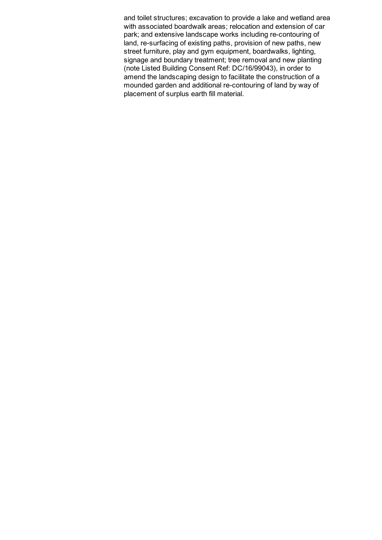and toilet structures; excavation to provide a lake and wetland area with associated boardwalk areas; relocation and extension of car park; and extensive landscape works including re-contouring of land, re-surfacing of existing paths, provision of new paths, new street furniture, play and gym equipment, boardwalks, lighting, signage and boundary treatment; tree removal and new planting (note Listed Building Consent Ref: DC/16/99043), in order to amend the landscaping design to facilitate the construction of a mounded garden and additional re-contouring of land by way of placement of surplus earth fill material.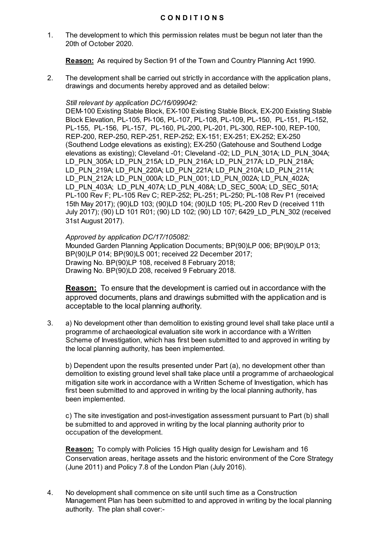### **C O N D I T I O N S**

1. The development to which this permission relates must be begun not later than the 20th of October 2020.

**Reason:** As required by Section 91 of the Town and Country Planning Act 1990.

2. The development shall be carried out strictly in accordance with the application plans, drawings and documents hereby approved and as detailed below:

#### *Still relevant by application DC/16/099042:*

DEM-100 Existing Stable Block, EX-100 Existing Stable Block, EX-200 Existing Stable Block Elevation, PL-105, Pl-106, PL-107, PL-108, PL-109, PL-150, PL-151, PL-152, PL-155, PL-156, PL-157, PL-160, PL-200, PL-201, PL-300, REP-100, REP-100, REP-200, REP-250, REP-251, REP-252; EX-151; EX-251; EX-252; EX-250 (Southend Lodge elevations as existing); EX-250 (Gatehouse and Southend Lodge elevations as existing); Cleveland -01; Cleveland -02; LD\_PLN\_301A; LD\_PLN\_304A; LD\_PLN\_305A; LD\_PLN\_215A; LD\_PLN\_216A; LD\_PLN\_217A; LD\_PLN\_218A; LD\_PLN\_219A; LD\_PLN\_220A; LD\_PLN\_221A; LD\_PLN\_210A; LD\_PLN\_211A; LD\_PLN\_212A; LD\_PLN\_000A; LD\_PLN\_001; LD\_PLN\_002A; LD\_PLN\_402A; LD\_PLN\_403A; LD\_PLN\_407A; LD\_PLN\_408A; LD\_SEC\_500A; LD\_SEC\_501A; PL-100 Rev F; PL-105 Rev C; REP-252; PL-251; PL-250; PL-108 Rev P1 (received 15th May 2017); (90)LD 103; (90)LD 104; (90)LD 105; PL-200 Rev D (received 11th July 2017); (90) LD 101 R01; (90) LD 102; (90) LD 107; 6429\_LD\_PLN\_302 (received 31st August 2017).

#### *Approved by application DC/17/105082:*

Mounded Garden Planning Application Documents; BP(90)LP 006; BP(90)LP 013; BP(90)LP 014; BP(90)LS 001; received 22 December 2017; Drawing No. BP(90)LP 108, received 8 February 2018; Drawing No. BP(90)LD 208, received 9 February 2018.

**Reason:** To ensure that the development is carried out in accordance with the approved documents, plans and drawings submitted with the application and is acceptable to the local planning authority.

3. a) No development other than demolition to existing ground level shall take place until a programme of archaeological evaluation site work in accordance with a Written Scheme of Investigation, which has first been submitted to and approved in writing by the local planning authority, has been implemented.

b) Dependent upon the results presented under Part (a), no development other than demolition to existing ground level shall take place until a programme of archaeological mitigation site work in accordance with a Written Scheme of Investigation, which has first been submitted to and approved in writing by the local planning authority, has been implemented.

c) The site investigation and post-investigation assessment pursuant to Part (b) shall be submitted to and approved in writing by the local planning authority prior to occupation of the development.

**Reason:** To comply with Policies 15 High quality design for Lewisham and 16 Conservation areas, heritage assets and the historic environment of the Core Strategy (June 2011) and Policy 7.8 of the London Plan (July 2016).

4. No development shall commence on site until such time as a Construction Management Plan has been submitted to and approved in writing by the local planning authority. The plan shall cover:-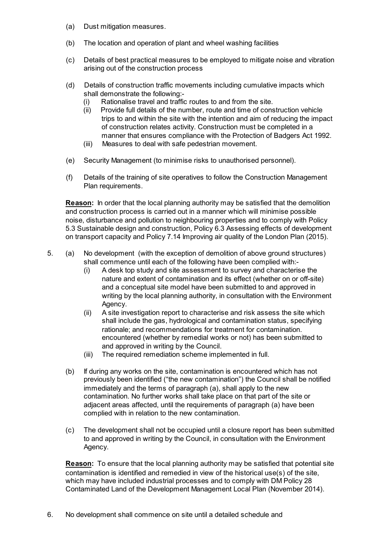- (a) Dust mitigation measures.
- (b) The location and operation of plant and wheel washing facilities
- (c) Details of best practical measures to be employed to mitigate noise and vibration arising out of the construction process
- (d) Details of construction traffic movements including cumulative impacts which shall demonstrate the following:-
	- (i) Rationalise travel and traffic routes to and from the site.
	- (ii) Provide full details of the number, route and time of construction vehicle trips to and within the site with the intention and aim of reducing the impact of construction relates activity. Construction must be completed in a manner that ensures compliance with the Protection of Badgers Act 1992.
	- (iii) Measures to deal with safe pedestrian movement.
- (e) Security Management (to minimise risks to unauthorised personnel).
- (f) Details of the training of site operatives to follow the Construction Management Plan requirements.

**Reason:** In order that the local planning authority may be satisfied that the demolition and construction process is carried out in a manner which will minimise possible noise, disturbance and pollution to neighbouring properties and to comply with Policy 5.3 Sustainable design and construction, Policy 6.3 Assessing effects of development on transport capacity and Policy 7.14 Improving air quality of the London Plan (2015).

- 5. (a) No development (with the exception of demolition of above ground structures) shall commence until each of the following have been complied with:-
	- (i) A desk top study and site assessment to survey and characterise the nature and extent of contamination and its effect (whether on or off-site) and a conceptual site model have been submitted to and approved in writing by the local planning authority, in consultation with the Environment Agency.
	- (ii) A site investigation report to characterise and risk assess the site which shall include the gas, hydrological and contamination status, specifying rationale; and recommendations for treatment for contamination. encountered (whether by remedial works or not) has been submitted to and approved in writing by the Council.
	- (iii) The required remediation scheme implemented in full.
	- (b) If during any works on the site, contamination is encountered which has not previously been identified ("the new contamination") the Council shall be notified immediately and the terms of paragraph (a), shall apply to the new contamination. No further works shall take place on that part of the site or adjacent areas affected, until the requirements of paragraph (a) have been complied with in relation to the new contamination.
	- (c) The development shall not be occupied until a closure report has been submitted to and approved in writing by the Council, in consultation with the Environment Agency.

**Reason:** To ensure that the local planning authority may be satisfied that potential site contamination is identified and remedied in view of the historical use(s) of the site, which may have included industrial processes and to comply with DM Policy 28 Contaminated Land of the Development Management Local Plan (November 2014).

6. No development shall commence on site until a detailed schedule and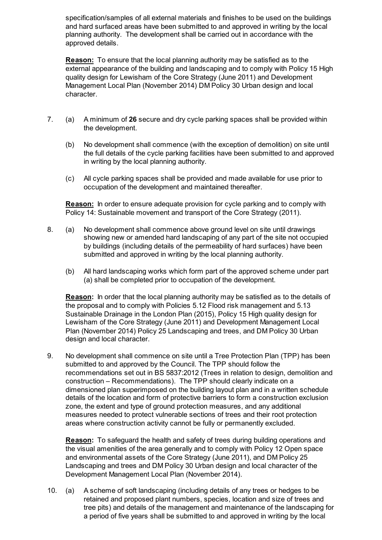specification/samples of all external materials and finishes to be used on the buildings and hard surfaced areas have been submitted to and approved in writing by the local planning authority. The development shall be carried out in accordance with the approved details.

**Reason:** To ensure that the local planning authority may be satisfied as to the external appearance of the building and landscaping and to comply with Policy 15 High quality design for Lewisham of the Core Strategy (June 2011) and Development Management Local Plan (November 2014) DM Policy 30 Urban design and local character.

- 7. (a) A minimum of **26** secure and dry cycle parking spaces shall be provided within the development.
	- (b) No development shall commence (with the exception of demolition) on site until the full details of the cycle parking facilities have been submitted to and approved in writing by the local planning authority.
	- (c) All cycle parking spaces shall be provided and made available for use prior to occupation of the development and maintained thereafter.

**Reason:** In order to ensure adequate provision for cycle parking and to comply with Policy 14: Sustainable movement and transport of the Core Strategy (2011).

- 8. (a) No development shall commence above ground level on site until drawings showing new or amended hard landscaping of any part of the site not occupied by buildings (including details of the permeability of hard surfaces) have been submitted and approved in writing by the local planning authority.
	- (b) All hard landscaping works which form part of the approved scheme under part (a) shall be completed prior to occupation of the development.

**Reason:** In order that the local planning authority may be satisfied as to the details of the proposal and to comply with Policies 5.12 Flood risk management and 5.13 Sustainable Drainage in the London Plan (2015), Policy 15 High quality design for Lewisham of the Core Strategy (June 2011) and Development Management Local Plan (November 2014) Policy 25 Landscaping and trees, and DM Policy 30 Urban design and local character.

9. No development shall commence on site until a Tree Protection Plan (TPP) has been submitted to and approved by the Council. The TPP should follow the recommendations set out in BS 5837:2012 (Trees in relation to design, demolition and construction – Recommendations). The TPP should clearly indicate on a dimensioned plan superimposed on the building layout plan and in a written schedule details of the location and form of protective barriers to form a construction exclusion zone, the extent and type of ground protection measures, and any additional measures needed to protect vulnerable sections of trees and their root protection areas where construction activity cannot be fully or permanently excluded.

**Reason:** To safeguard the health and safety of trees during building operations and the visual amenities of the area generally and to comply with Policy 12 Open space and environmental assets of the Core Strategy (June 2011), and DM Policy 25 Landscaping and trees and DM Policy 30 Urban design and local character of the Development Management Local Plan (November 2014).

10. (a) A scheme of soft landscaping (including details of any trees or hedges to be retained and proposed plant numbers, species, location and size of trees and tree pits) and details of the management and maintenance of the landscaping for a period of five years shall be submitted to and approved in writing by the local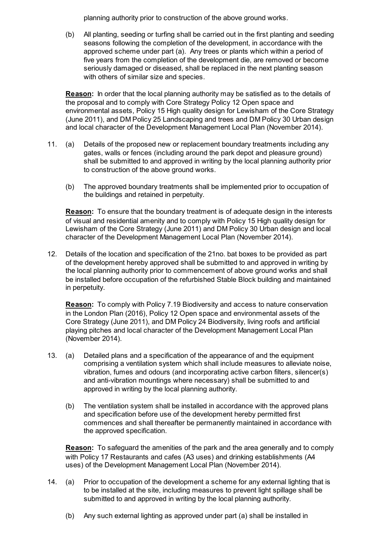planning authority prior to construction of the above ground works.

(b) All planting, seeding or turfing shall be carried out in the first planting and seeding seasons following the completion of the development, in accordance with the approved scheme under part (a). Any trees or plants which within a period of five years from the completion of the development die, are removed or become seriously damaged or diseased, shall be replaced in the next planting season with others of similar size and species.

**Reason:** In order that the local planning authority may be satisfied as to the details of the proposal and to comply with Core Strategy Policy 12 Open space and environmental assets, Policy 15 High quality design for Lewisham of the Core Strategy (June 2011), and DM Policy 25 Landscaping and trees and DM Policy 30 Urban design and local character of the Development Management Local Plan (November 2014).

- 11. (a) Details of the proposed new or replacement boundary treatments including any gates, walls or fences (including around the park depot and pleasure ground) shall be submitted to and approved in writing by the local planning authority prior to construction of the above ground works.
	- (b) The approved boundary treatments shall be implemented prior to occupation of the buildings and retained in perpetuity.

**Reason:** To ensure that the boundary treatment is of adequate design in the interests of visual and residential amenity and to comply with Policy 15 High quality design for Lewisham of the Core Strategy (June 2011) and DM Policy 30 Urban design and local character of the Development Management Local Plan (November 2014).

12. Details of the location and specification of the 21no. bat boxes to be provided as part of the development hereby approved shall be submitted to and approved in writing by the local planning authority prior to commencement of above ground works and shall be installed before occupation of the refurbished Stable Block building and maintained in perpetuity.

**Reason:** To comply with Policy 7.19 Biodiversity and access to nature conservation in the London Plan (2016), Policy 12 Open space and environmental assets of the Core Strategy (June 2011), and DM Policy 24 Biodiversity, living roofs and artificial playing pitches and local character of the Development Management Local Plan (November 2014).

- 13. (a) Detailed plans and a specification of the appearance of and the equipment comprising a ventilation system which shall include measures to alleviate noise, vibration, fumes and odours (and incorporating active carbon filters, silencer(s) and anti-vibration mountings where necessary) shall be submitted to and approved in writing by the local planning authority.
	- (b) The ventilation system shall be installed in accordance with the approved plans and specification before use of the development hereby permitted first commences and shall thereafter be permanently maintained in accordance with the approved specification.

**Reason:** To safeguard the amenities of the park and the area generally and to comply with Policy 17 Restaurants and cafes (A3 uses) and drinking establishments (A4 uses) of the Development Management Local Plan (November 2014).

- 14. (a) Prior to occupation of the development a scheme for any external lighting that is to be installed at the site, including measures to prevent light spillage shall be submitted to and approved in writing by the local planning authority.
	- (b) Any such external lighting as approved under part (a) shall be installed in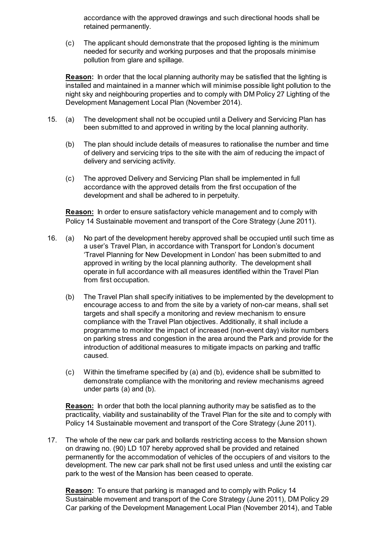accordance with the approved drawings and such directional hoods shall be retained permanently.

(c) The applicant should demonstrate that the proposed lighting is the minimum needed for security and working purposes and that the proposals minimise pollution from glare and spillage.

**Reason:** In order that the local planning authority may be satisfied that the lighting is installed and maintained in a manner which will minimise possible light pollution to the night sky and neighbouring properties and to comply with DM Policy 27 Lighting of the Development Management Local Plan (November 2014).

- 15. (a) The development shall not be occupied until a Delivery and Servicing Plan has been submitted to and approved in writing by the local planning authority.
	- (b) The plan should include details of measures to rationalise the number and time of delivery and servicing trips to the site with the aim of reducing the impact of delivery and servicing activity.
	- (c) The approved Delivery and Servicing Plan shall be implemented in full accordance with the approved details from the first occupation of the development and shall be adhered to in perpetuity.

**Reason:** In order to ensure satisfactory vehicle management and to comply with Policy 14 Sustainable movement and transport of the Core Strategy (June 2011).

- 16. (a) No part of the development hereby approved shall be occupied until such time as a user's Travel Plan, in accordance with Transport for London's document 'Travel Planning for New Development in London' has been submitted to and approved in writing by the local planning authority. The development shall operate in full accordance with all measures identified within the Travel Plan from first occupation.
	- (b) The Travel Plan shall specify initiatives to be implemented by the development to encourage access to and from the site by a variety of non-car means, shall set targets and shall specify a monitoring and review mechanism to ensure compliance with the Travel Plan objectives. Additionally, it shall include a programme to monitor the impact of increased (non-event day) visitor numbers on parking stress and congestion in the area around the Park and provide for the introduction of additional measures to mitigate impacts on parking and traffic caused.
	- (c) Within the timeframe specified by (a) and (b), evidence shall be submitted to demonstrate compliance with the monitoring and review mechanisms agreed under parts (a) and (b).

**Reason:** In order that both the local planning authority may be satisfied as to the practicality, viability and sustainability of the Travel Plan for the site and to comply with Policy 14 Sustainable movement and transport of the Core Strategy (June 2011).

17. The whole of the new car park and bollards restricting access to the Mansion shown on drawing no. (90) LD 107 hereby approved shall be provided and retained permanently for the accommodation of vehicles of the occupiers of and visitors to the development. The new car park shall not be first used unless and until the existing car park to the west of the Mansion has been ceased to operate.

**Reason:** To ensure that parking is managed and to comply with Policy 14 Sustainable movement and transport of the Core Strategy (June 2011), DM Policy 29 Car parking of the Development Management Local Plan (November 2014), and Table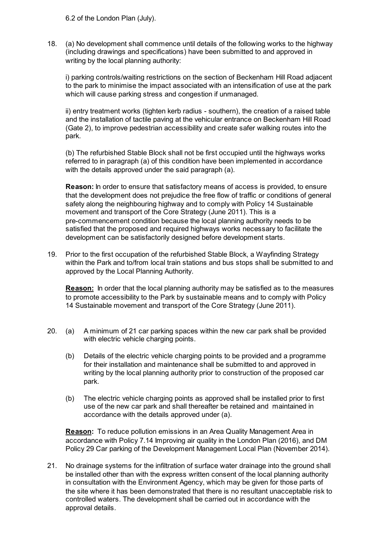6.2 of the London Plan (July).

18. (a) No development shall commence until details of the following works to the highway (including drawings and specifications) have been submitted to and approved in writing by the local planning authority:

i) parking controls/waiting restrictions on the section of Beckenham Hill Road adjacent to the park to minimise the impact associated with an intensification of use at the park which will cause parking stress and congestion if unmanaged.

ii) entry treatment works (tighten kerb radius - southern), the creation of a raised table and the installation of tactile paving at the vehicular entrance on Beckenham Hill Road (Gate 2), to improve pedestrian accessibility and create safer walking routes into the park.

(b) The refurbished Stable Block shall not be first occupied until the highways works referred to in paragraph (a) of this condition have been implemented in accordance with the details approved under the said paragraph (a).

**Reason:** In order to ensure that satisfactory means of access is provided, to ensure that the development does not prejudice the free flow of traffic or conditions of general safety along the neighbouring highway and to comply with Policy 14 Sustainable movement and transport of the Core Strategy (June 2011). This is a pre-commencement condition because the local planning authority needs to be satisfied that the proposed and required highways works necessary to facilitate the development can be satisfactorily designed before development starts.

19. Prior to the first occupation of the refurbished Stable Block, a Wayfinding Strategy within the Park and to/from local train stations and bus stops shall be submitted to and approved by the Local Planning Authority.

**Reason:** In order that the local planning authority may be satisfied as to the measures to promote accessibility to the Park by sustainable means and to comply with Policy 14 Sustainable movement and transport of the Core Strategy (June 2011).

- 20. (a) A minimum of 21 car parking spaces within the new car park shall be provided with electric vehicle charging points.
	- (b) Details of the electric vehicle charging points to be provided and a programme for their installation and maintenance shall be submitted to and approved in writing by the local planning authority prior to construction of the proposed car park.
	- (b) The electric vehicle charging points as approved shall be installed prior to first use of the new car park and shall thereafter be retained and maintained in accordance with the details approved under (a).

**Reason:** To reduce pollution emissions in an Area Quality Management Area in accordance with Policy 7.14 Improving air quality in the London Plan (2016), and DM Policy 29 Car parking of the Development Management Local Plan (November 2014).

21. No drainage systems for the infiltration of surface water drainage into the ground shall be installed other than with the express written consent of the local planning authority in consultation with the Environment Agency, which may be given for those parts of the site where it has been demonstrated that there is no resultant unacceptable risk to controlled waters. The development shall be carried out in accordance with the approval details.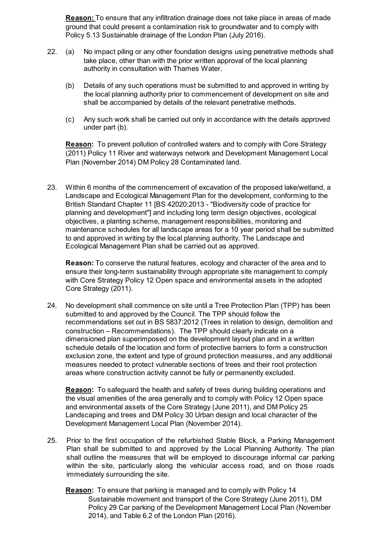**Reason:** To ensure that any infiltration drainage does not take place in areas of made ground that could present a contamination risk to groundwater and to comply with Policy 5.13 Sustainable drainage of the London Plan (July 2016).

- 22. (a) No impact piling or any other foundation designs using penetrative methods shall take place, other than with the prior written approval of the local planning authority in consultation with Thames Water.
	- (b) Details of any such operations must be submitted to and approved in writing by the local planning authority prior to commencement of development on site and shall be accompanied by details of the relevant penetrative methods.
	- (c) Any such work shall be carried out only in accordance with the details approved under part (b).

**Reason:** To prevent pollution of controlled waters and to comply with Core Strategy (2011) Policy 11 River and waterways network and Development Management Local Plan (November 2014) DM Policy 28 Contaminated land.

23. Within 6 months of the commencement of excavation of the proposed lake/wetland, a Landscape and Ecological Management Plan for the development, conforming to the British Standard Chapter 11 [BS 42020:2013 - "Biodiversity code of practice for planning and development"] and including long term design objectives, ecological objectives, a planting scheme, management responsibilities, monitoring and maintenance schedules for all landscape areas for a 10 year period shall be submitted to and approved in writing by the local planning authority. The Landscape and Ecological Management Plan shall be carried out as approved.

**Reason:** To conserve the natural features, ecology and character of the area and to ensure their long-term sustainability through appropriate site management to comply with Core Strategy Policy 12 Open space and environmental assets in the adopted Core Strategy (2011).

24. No development shall commence on site until a Tree Protection Plan (TPP) has been submitted to and approved by the Council. The TPP should follow the recommendations set out in BS 5837:2012 (Trees in relation to design, demolition and construction – Recommendations). The TPP should clearly indicate on a dimensioned plan superimposed on the development layout plan and in a written schedule details of the location and form of protective barriers to form a construction exclusion zone, the extent and type of ground protection measures, and any additional measures needed to protect vulnerable sections of trees and their root protection areas where construction activity cannot be fully or permanently excluded.

**Reason:** To safeguard the health and safety of trees during building operations and the visual amenities of the area generally and to comply with Policy 12 Open space and environmental assets of the Core Strategy (June 2011), and DM Policy 25 Landscaping and trees and DM Policy 30 Urban design and local character of the Development Management Local Plan (November 2014).

25. Prior to the first occupation of the refurbished Stable Block, a Parking Management Plan shall be submitted to and approved by the Local Planning Authority. The plan shall outline the measures that will be employed to discourage informal car parking within the site, particularly along the vehicular access road, and on those roads immediately surrounding the site.

**Reason:** To ensure that parking is managed and to comply with Policy 14 Sustainable movement and transport of the Core Strategy (June 2011), DM Policy 29 Car parking of the Development Management Local Plan (November 2014), and Table 6.2 of the London Plan (2016).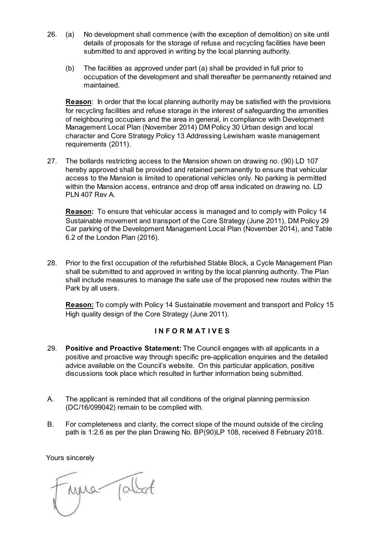- 26. (a) No development shall commence (with the exception of demolition) on site until details of proposals for the storage of refuse and recycling facilities have been submitted to and approved in writing by the local planning authority.
	- (b) The facilities as approved under part (a) shall be provided in full prior to occupation of the development and shall thereafter be permanently retained and maintained.

**Reason**: In order that the local planning authority may be satisfied with the provisions for recycling facilities and refuse storage in the interest of safeguarding the amenities of neighbouring occupiers and the area in general, in compliance with Development Management Local Plan (November 2014) DM Policy 30 Urban design and local character and Core Strategy Policy 13 Addressing Lewisham waste management requirements (2011).

27. The bollards restricting access to the Mansion shown on drawing no. (90) LD 107 hereby approved shall be provided and retained permanently to ensure that vehicular access to the Mansion is limited to operational vehicles only. No parking is permitted within the Mansion access, entrance and drop off area indicated on drawing no. LD PLN 407 Rev A.

**Reason:** To ensure that vehicular access is managed and to comply with Policy 14 Sustainable movement and transport of the Core Strategy (June 2011), DM Policy 29 Car parking of the Development Management Local Plan (November 2014), and Table 6.2 of the London Plan (2016).

28. Prior to the first occupation of the refurbished Stable Block, a Cycle Management Plan shall be submitted to and approved in writing by the local planning authority. The Plan shall include measures to manage the safe use of the proposed new routes within the Park by all users.

**Reason:** To comply with Policy 14 Sustainable movement and transport and Policy 15 High quality design of the Core Strategy (June 2011).

# **I N F O R M A T I V E S**

- 29. **Positive and Proactive Statement:** The Council engages with all applicants in a positive and proactive way through specific pre-application enquiries and the detailed advice available on the Council's website. On this particular application, positive discussions took place which resulted in further information being submitted.
- A. The applicant is reminded that all conditions of the original planning permission (DC/16/099042) remain to be complied with.
- B. For completeness and clarity, the correct slope of the mound outside of the circling path is 1:2.6 as per the plan Drawing No. BP(90)LP 108, received 8 February 2018.

Yours sincerely

imma jobst